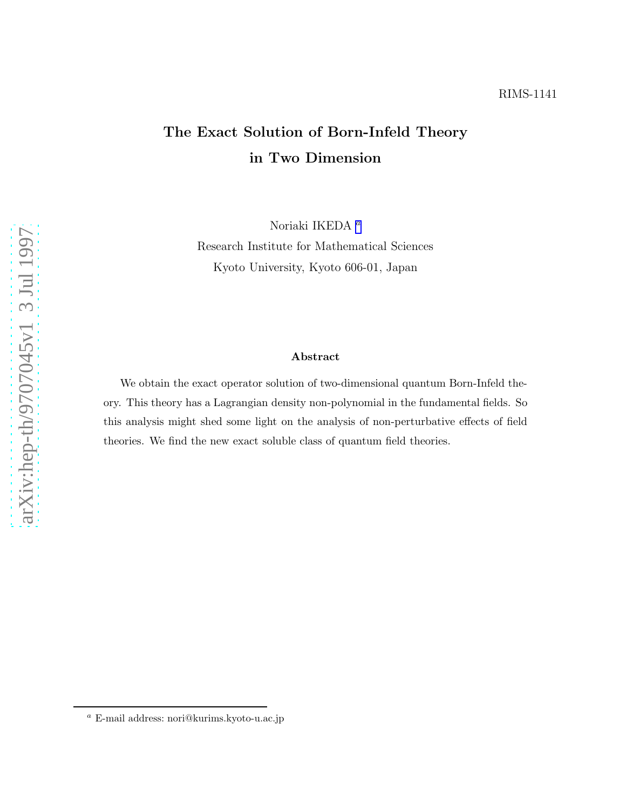# The Exact Solution of Born-Infeld Theory in Two Dimension

Noriaki IKEDA $^a$ 

Research Institute for Mathematical Sciences Kyoto University, Kyoto 606-01, Japan

#### Abstract

We obtain the exact operator solution of two-dimensional quantum Born-Infeld theory. This theory has a Lagrangian density non-polynomial in the fundamental fields. So this analysis might shed some light on the analysis of non-perturbative effects of field theories. We find the new exact soluble class of quantum field theories.

 $^a$ E-mail address: nori@kurims.kyoto-u.ac.jp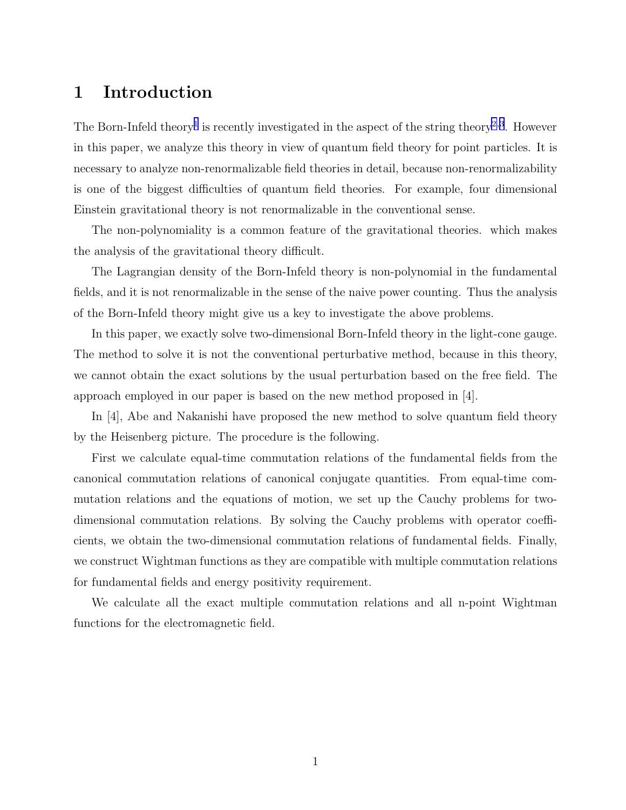# 1 Introduction

The Born-Infeld theory<sup>[1](#page-7-0)</sup> is recently investigated in the aspect of the string theory<sup>[2](#page-7-0),[3](#page-7-0)</sup>. However in this paper, we analyze this theory in view of quantum field theory for point particles. It is necessary to analyze non-renormalizable field theories in detail, because non-renormalizability is one of the biggest difficulties of quantum field theories. For example, four dimensional Einstein gravitational theory is not renormalizable in the conventional sense.

The non-polynomiality is a common feature of the gravitational theories. which makes the analysis of the gravitational theory difficult.

The Lagrangian density of the Born-Infeld theory is non-polynomial in the fundamental fields, and it is not renormalizable in the sense of the naive power counting. Thus the analysis of the Born-Infeld theory might give us a key to investigate the above problems.

In this paper, we exactly solve two-dimensional Born-Infeld theory in the light-cone gauge. The method to solve it is not the conventional perturbative method, because in this theory, we cannot obtain the exact solutions by the usual perturbation based on the free field. The approach employed in our paper is based on the new method proposed in  $|4|$ .

In [4], Abe and Nakanishi have proposed the new method to solve quantum field theory by the Heisenberg picture. The procedure is the following.

First we calculate equal-time commutation relations of the fundamental fields from the canonical commutation relations of canonical conjugate quantities. From equal-time commutation relations and the equations of motion, we set up the Cauchy problems for twodimensional commutation relations. By solving the Cauchy problems with operator coefficients, we obtain the two-dimensional commutation relations of fundamental fields. Finally, we construct Wightman functions as they are compatible with multiple commutation relations for fundamental fields and energy positivity requirement.

We calculate all the exact multiple commutation relations and all n-point Wightman functions for the electromagnetic field.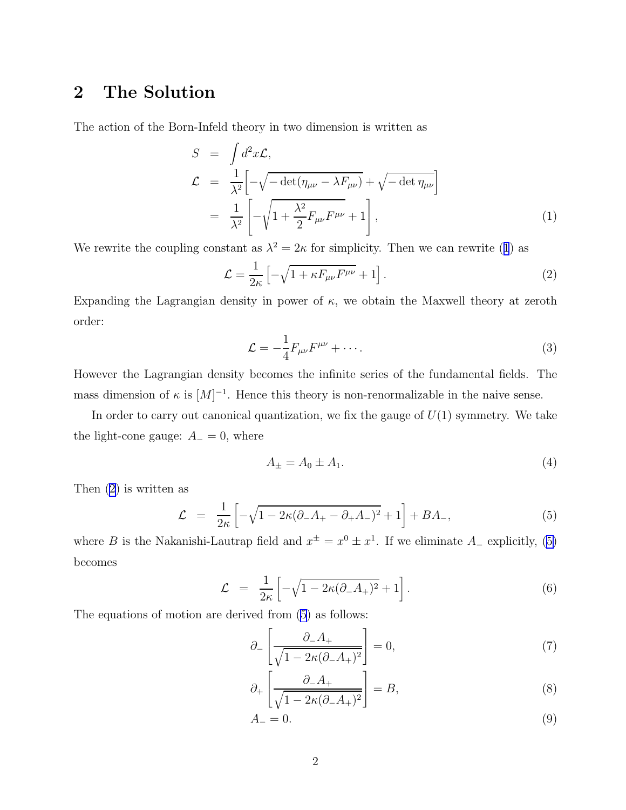# <span id="page-2-0"></span>2 The Solution

The action of the Born-Infeld theory in two dimension is written as

$$
S = \int d^2x \mathcal{L},
$$
  
\n
$$
\mathcal{L} = \frac{1}{\lambda^2} \left[ -\sqrt{-\det(\eta_{\mu\nu} - \lambda F_{\mu\nu})} + \sqrt{-\det \eta_{\mu\nu}} \right]
$$
  
\n
$$
= \frac{1}{\lambda^2} \left[ -\sqrt{1 + \frac{\lambda^2}{2} F_{\mu\nu} F^{\mu\nu}} + 1 \right],
$$
\n(1)

We rewrite the coupling constant as  $\lambda^2 = 2\kappa$  for simplicity. Then we can rewrite (1) as

$$
\mathcal{L} = \frac{1}{2\kappa} \left[ -\sqrt{1 + \kappa F_{\mu\nu} F^{\mu\nu}} + 1 \right]. \tag{2}
$$

Expanding the Lagrangian density in power of  $\kappa$ , we obtain the Maxwell theory at zeroth order:

$$
\mathcal{L} = -\frac{1}{4} F_{\mu\nu} F^{\mu\nu} + \cdots. \tag{3}
$$

However the Lagrangian density becomes the infinite series of the fundamental fields. The mass dimension of  $\kappa$  is  $[M]^{-1}$ . Hence this theory is non-renormalizable in the naive sense.

In order to carry out canonical quantization, we fix the gauge of  $U(1)$  symmetry. We take the light-cone gauge:  $A_-=0$ , where

$$
A_{\pm} = A_0 \pm A_1. \tag{4}
$$

Then (2) is written as

$$
\mathcal{L} = \frac{1}{2\kappa} \left[ -\sqrt{1 - 2\kappa (\partial_- A_+ - \partial_+ A_-)^2} + 1 \right] + BA_-, \tag{5}
$$

where B is the Nakanishi-Lautrap field and  $x^{\pm} = x^0 \pm x^1$ . If we eliminate  $A_{-}$  explicitly, (5) becomes

$$
\mathcal{L} = \frac{1}{2\kappa} \left[ -\sqrt{1 - 2\kappa (\partial_- A_+)^2} + 1 \right]. \tag{6}
$$

The equations of motion are derived from (5) as follows:

$$
\partial_{-}\left[\frac{\partial_{-}A_{+}}{\sqrt{1-2\kappa(\partial_{-}A_{+})^{2}}}\right] = 0, \tag{7}
$$

$$
\partial_{+} \left[ \frac{\partial_{-} A_{+}}{\sqrt{1 - 2\kappa (\partial_{-} A_{+})^{2}}} \right] = B, \tag{8}
$$

$$
A_{-} = 0.\t\t(9)
$$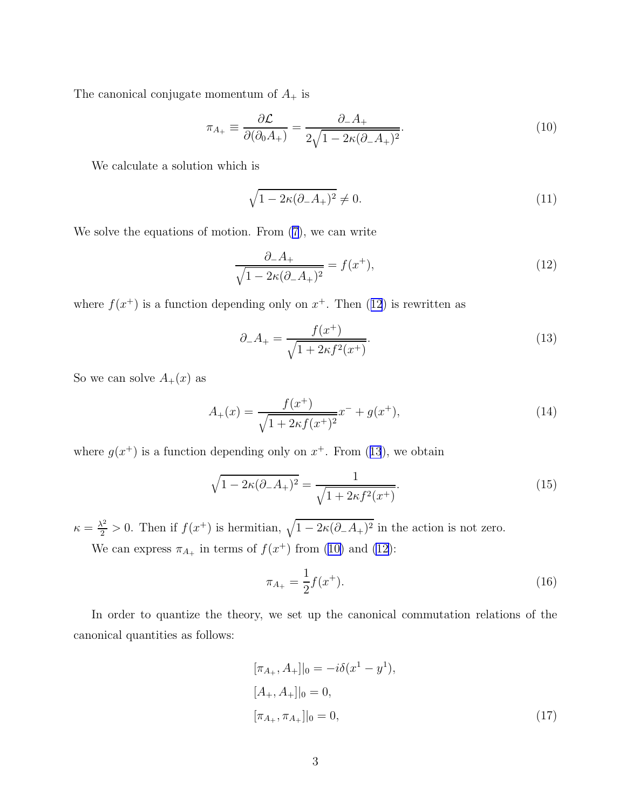<span id="page-3-0"></span>The canonical conjugate momentum of  $A_+$  is

$$
\pi_{A_+} \equiv \frac{\partial \mathcal{L}}{\partial(\partial_0 A_+)} = \frac{\partial_- A_+}{2\sqrt{1 - 2\kappa(\partial_- A_+)^2}}.
$$
\n(10)

We calculate a solution which is

$$
\sqrt{1 - 2\kappa(\partial_- A_+)^2} \neq 0. \tag{11}
$$

We solve the equations of motion. From  $(7)$ , we can write

$$
\frac{\partial_{-}A_{+}}{\sqrt{1 - 2\kappa(\partial_{-}A_{+})^{2}}} = f(x^{+}),
$$
\n(12)

where  $f(x^{+})$  is a function depending only on  $x^{+}$ . Then (12) is rewritten as

$$
\partial_{-}A_{+} = \frac{f(x^{+})}{\sqrt{1 + 2\kappa f^{2}(x^{+})}}.
$$
\n(13)

So we can solve  $A_+(x)$  as

$$
A_{+}(x) = \frac{f(x^{+})}{\sqrt{1 + 2\kappa f(x^{+})^{2}}}x^{-} + g(x^{+}),
$$
\n(14)

where  $g(x^+)$  is a function depending only on  $x^+$ . From (13), we obtain

$$
\sqrt{1 - 2\kappa(\partial_- A_+)^2} = \frac{1}{\sqrt{1 + 2\kappa f^2(x^+)}}.
$$
\n(15)

 $\kappa = \frac{\lambda^2}{2} > 0$ . Then if  $f(x^+)$  is hermitian,  $\sqrt{1 - 2\kappa(\partial_- A_+)^2}$  in the action is not zero.

We can express  $\pi_{A_+}$  in terms of  $f(x^+)$  from (10) and (12):

$$
\pi_{A_+} = \frac{1}{2} f(x^+). \tag{16}
$$

In order to quantize the theory, we set up the canonical commutation relations of the canonical quantities as follows:

$$
[\pi_{A_+}, A_+]|_0 = -i\delta(x^1 - y^1),
$$
  
\n
$$
[A_+, A_+]|_0 = 0,
$$
  
\n
$$
[\pi_{A_+}, \pi_{A_+}]|_0 = 0,
$$
\n(17)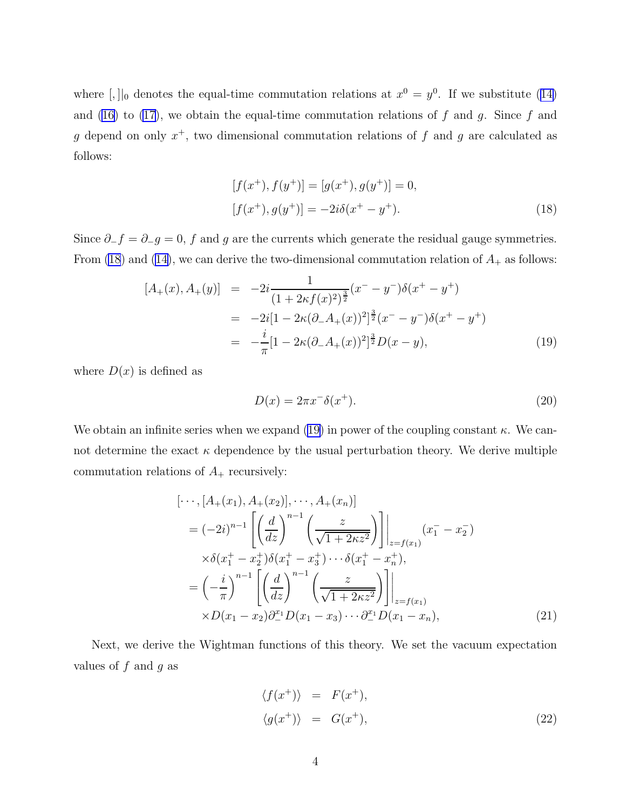<span id="page-4-0"></span>where $[$ ,  $]$ <sub>0</sub> denotes the equal-time commutation relations at  $x^0 = y^0$ . If we substitute ([14\)](#page-3-0) and([16\)](#page-3-0) to [\(17](#page-3-0)), we obtain the equal-time commutation relations of  $f$  and  $g$ . Since  $f$  and g depend on only  $x^+$ , two dimensional commutation relations of f and g are calculated as follows:

$$
[f(x^+), f(y^+)] = [g(x^+), g(y^+)] = 0,
$$
  

$$
[f(x^+), g(y^+)] = -2i\delta(x^+ - y^+).
$$
 (18)

Since  $\partial_{-}f = \partial_{-}g = 0$ , f and g are the currents which generate the residual gauge symmetries. From (18) and [\(14\)](#page-3-0), we can derive the two-dimensional commutation relation of  $A_+$  as follows:

$$
[A_{+}(x), A_{+}(y)] = -2i \frac{1}{(1 + 2\kappa f(x)^{2})^{\frac{3}{2}}}(x^{-} - y^{-})\delta(x^{+} - y^{+})
$$
  

$$
= -2i[1 - 2\kappa(\partial_{-}A_{+}(x))^{2}]^{\frac{3}{2}}(x^{-} - y^{-})\delta(x^{+} - y^{+})
$$
  

$$
= -\frac{i}{\pi}[1 - 2\kappa(\partial_{-}A_{+}(x))^{2}]^{\frac{3}{2}}D(x - y), \qquad (19)
$$

where  $D(x)$  is defined as

$$
D(x) = 2\pi x^{-\delta}(x^{+}).\tag{20}
$$

We obtain an infinite series when we expand (19) in power of the coupling constant  $\kappa$ . We cannot determine the exact  $\kappa$  dependence by the usual perturbation theory. We derive multiple commutation relations of  $A_+$  recursively:

$$
[\cdots, [A_{+}(x_{1}), A_{+}(x_{2})], \cdots, A_{+}(x_{n})]
$$
\n
$$
= (-2i)^{n-1} \left[ \left( \frac{d}{dz} \right)^{n-1} \left( \frac{z}{\sqrt{1+2\kappa z^{2}}} \right) \right] \Big|_{z=f(x_{1})} (x_{1}^{-} - x_{2}^{-})
$$
\n
$$
\times \delta(x_{1}^{+} - x_{2}^{+}) \delta(x_{1}^{+} - x_{3}^{+}) \cdots \delta(x_{1}^{+} - x_{n}^{+}),
$$
\n
$$
= \left( -\frac{i}{\pi} \right)^{n-1} \left[ \left( \frac{d}{dz} \right)^{n-1} \left( \frac{z}{\sqrt{1+2\kappa z^{2}}} \right) \right] \Big|_{z=f(x_{1})}
$$
\n
$$
\times D(x_{1} - x_{2}) \partial_{-}^{x_{1}} D(x_{1} - x_{3}) \cdots \partial_{-}^{x_{1}} D(x_{1} - x_{n}), \qquad (21)
$$

Next, we derive the Wightman functions of this theory. We set the vacuum expectation values of  $f$  and  $g$  as

$$
\langle f(x^+) \rangle = F(x^+),
$$
  

$$
\langle g(x^+) \rangle = G(x^+),
$$
 (22)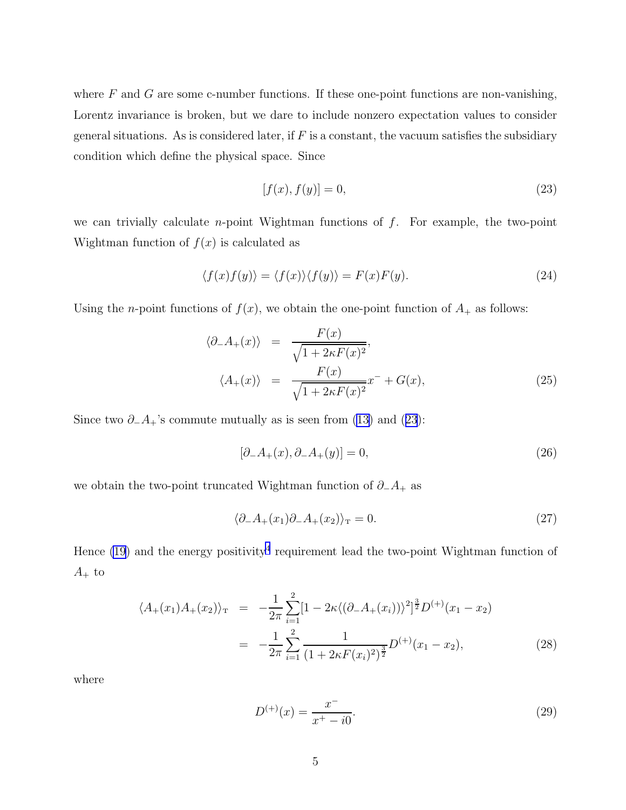where  $F$  and  $G$  are some c-number functions. If these one-point functions are non-vanishing, Lorentz invariance is broken, but we dare to include nonzero expectation values to consider general situations. As is considered later, if  $F$  is a constant, the vacuum satisfies the subsidiary condition which define the physical space. Since

$$
[f(x), f(y)] = 0,\t(23)
$$

we can trivially calculate *n*-point Wightman functions of  $f$ . For example, the two-point Wightman function of  $f(x)$  is calculated as

$$
\langle f(x)f(y)\rangle = \langle f(x)\rangle \langle f(y)\rangle = F(x)F(y). \tag{24}
$$

Using the *n*-point functions of  $f(x)$ , we obtain the one-point function of  $A_+$  as follows:

$$
\langle \partial_{-}A_{+}(x) \rangle = \frac{F(x)}{\sqrt{1 + 2\kappa F(x)^{2}}},
$$
  

$$
\langle A_{+}(x) \rangle = \frac{F(x)}{\sqrt{1 + 2\kappa F(x)^{2}}}x^{-} + G(x),
$$
 (25)

Since two  $\partial_{-}A_{+}$ 's commute mutually as is seen from [\(13\)](#page-3-0) and (23):

$$
[\partial_-A_+(x), \partial_-A_+(y)] = 0,\t(26)
$$

we obtain the two-point truncated Wightman function of  $\partial_{-}A_{+}$  as

$$
\langle \partial_{-}A_{+}(x_{1})\partial_{-}A_{+}(x_{2})\rangle_{\mathcal{T}}=0.
$$
\n(27)

Hence  $(19)$  and the energy positivity<sup>[4](#page-8-0)</sup> requirement lead the two-point Wightman function of  $A_+$  to

$$
\langle A_+(x_1)A_+(x_2) \rangle_{\mathcal{T}} = -\frac{1}{2\pi} \sum_{i=1}^2 [1 - 2\kappa \langle (\partial_- A_+(x_i)) \rangle^2]^{\frac{3}{2}} D^{(+)}(x_1 - x_2)
$$
  

$$
= -\frac{1}{2\pi} \sum_{i=1}^2 \frac{1}{(1 + 2\kappa F(x_i)^2)^{\frac{3}{2}}} D^{(+)}(x_1 - x_2), \tag{28}
$$

where

$$
D^{(+)}(x) = \frac{x^{-}}{x^{+} - i0}.
$$
\n(29)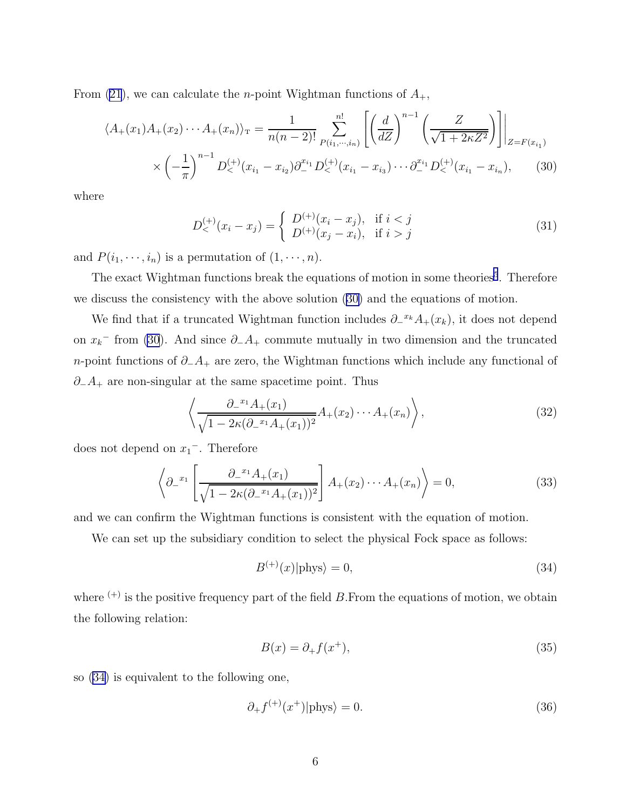From [\(21](#page-4-0)), we can calculate the *n*-point Wightman functions of  $A_{+}$ ,

$$
\langle A_+(x_1)A_+(x_2)\cdots A_+(x_n) \rangle_{\mathcal{T}} = \frac{1}{n(n-2)!} \sum_{P(i_1,\cdots,i_n)}^{n!} \left[ \left(\frac{d}{dZ}\right)^{n-1} \left(\frac{Z}{\sqrt{1+2\kappa Z^2}}\right) \right] \Big|_{Z=F(x_{i_1})}
$$

$$
\times \left(-\frac{1}{\pi}\right)^{n-1} D^{(+)}_{<}(x_{i_1}-x_{i_2}) \partial^{x_{i_1}}_{-} D^{(+)}_{<}(x_{i_1}-x_{i_3}) \cdots \partial^{x_{i_1}}_{-} D^{(+)}_{<}(x_{i_1}-x_{i_n}), \qquad (30)
$$

where

$$
D_{<}^{(+)}(x_i - x_j) = \begin{cases} D^{(+)}(x_i - x_j), & \text{if } i < j \\ D^{(+)}(x_j - x_i), & \text{if } i > j \end{cases} \tag{31}
$$

and  $P(i_1, \dots, i_n)$  is a permutation of  $(1, \dots, n)$ .

The exact Wightman functions break the equations of motion in some theories<sup>[5](#page-8-0)</sup>. Therefore we discuss the consistency with the above solution (30) and the equations of motion.

We find that if a truncated Wightman function includes  $\partial^{-x_k}A_+(x_k)$ , it does not depend on  $x_k$ <sup>-</sup> from (30). And since  $\partial_-A_+$  commute mutually in two dimension and the truncated *n*-point functions of  $∂_A_+$  are zero, the Wightman functions which include any functional of  $\partial_-\mathcal{A}_+$  are non-singular at the same spacetime point. Thus

$$
\left\langle \frac{\partial_-^{x_1} A_+(x_1)}{\sqrt{1 - 2\kappa (\partial_-^{x_1} A_+(x_1))^2}} A_+(x_2) \cdots A_+(x_n) \right\rangle, \tag{32}
$$

does not depend on  $x_1$ <sup>-</sup>. Therefore

$$
\left\langle \partial_-^{x_1} \left[ \frac{\partial_-^{x_1} A_+(x_1)}{\sqrt{1 - 2\kappa (\partial_-^{x_1} A_+(x_1))^2}} \right] A_+(x_2) \cdots A_+(x_n) \right\rangle = 0, \tag{33}
$$

and we can confirm the Wightman functions is consistent with the equation of motion.

We can set up the subsidiary condition to select the physical Fock space as follows:

$$
B^{(+)}(x)|\text{phys}\rangle = 0,\t\t(34)
$$

where  $(+)$  is the positive frequency part of the field B. From the equations of motion, we obtain the following relation:

$$
B(x) = \partial_+ f(x^+),\tag{35}
$$

so (34) is equivalent to the following one,

$$
\partial_{+} f^{(+)}(x^{+})|\text{phys}\rangle = 0. \tag{36}
$$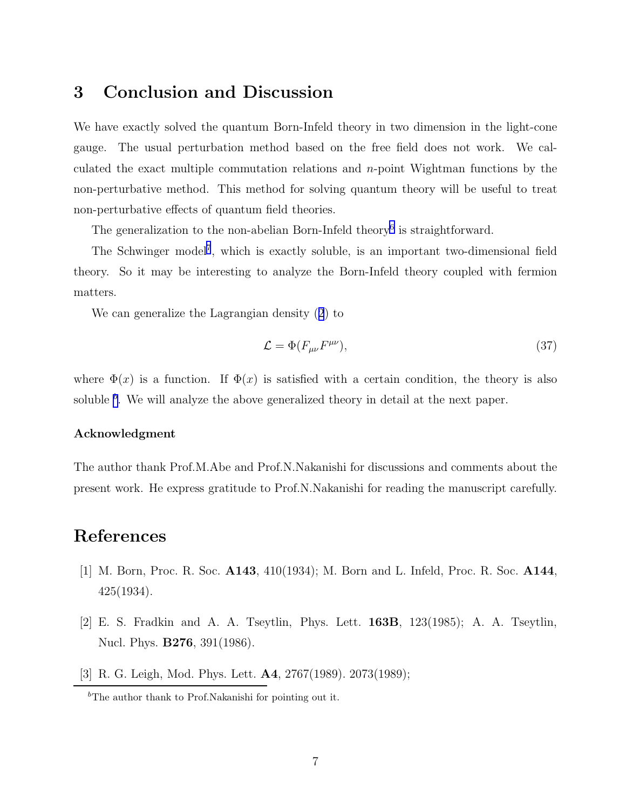# <span id="page-7-0"></span>3 Conclusion and Discussion

We have exactly solved the quantum Born-Infeld theory in two dimension in the light-cone gauge. The usual perturbation method based on the free field does not work. We calculated the exact multiple commutation relations and n-point Wightman functions by the non-perturbative method. This method for solving quantum theory will be useful to treat non-perturbative effects of quantum field theories.

The generalization to the non-abelian Born-Infeld theory<sup>[6](#page-8-0)</sup> is straightforward.

The Schwinger model<sup>[7](#page-8-0)</sup>, which is exactly soluble, is an important two-dimensional field theory. So it may be interesting to analyze the Born-Infeld theory coupled with fermion matters.

We can generalize the Lagrangian density([2](#page-2-0)) to

$$
\mathcal{L} = \Phi(F_{\mu\nu}F^{\mu\nu}),\tag{37}
$$

where  $\Phi(x)$  is a function. If  $\Phi(x)$  is satisfied with a certain condition, the theory is also soluble  $^b$ . We will analyze the above generalized theory in detail at the next paper.

### Acknowledgment

The author thank Prof.M.Abe and Prof.N.Nakanishi for discussions and comments about the present work. He express gratitude to Prof.N.Nakanishi for reading the manuscript carefully.

## References

- [1] M. Born, Proc. R. Soc. A143, 410(1934); M. Born and L. Infeld, Proc. R. Soc. A144, 425(1934).
- [2] E. S. Fradkin and A. A. Tseytlin, Phys. Lett. 163B, 123(1985); A. A. Tseytlin, Nucl. Phys. B276, 391(1986).
- [3] R. G. Leigh, Mod. Phys. Lett. A4, 2767(1989). 2073(1989);

 ${}^{b}$ The author thank to Prof.Nakanishi for pointing out it.